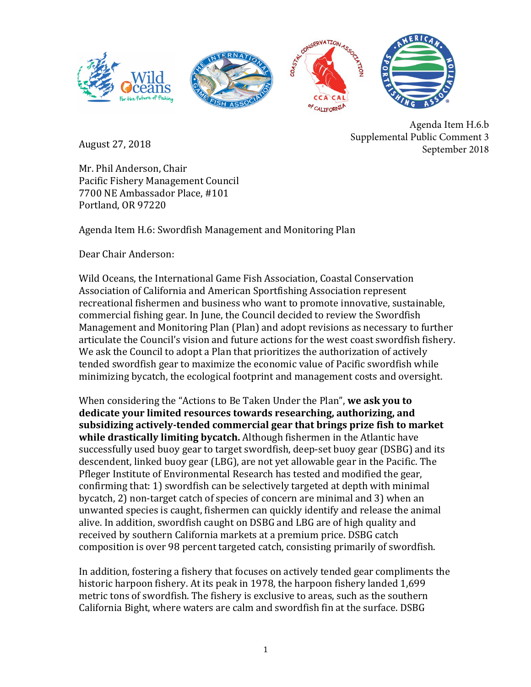

August 27, 2018 

Agenda Item H.6.b Supplemental Public Comment 3 September 2018

Mr. Phil Anderson, Chair Pacific Fishery Management Council 7700 NE Ambassador Place, #101 Portland, OR 97220

Agenda Item H.6: Swordfish Management and Monitoring Plan

Dear Chair Anderson:

Wild Oceans, the International Game Fish Association, Coastal Conservation Association of California and American Sportfishing Association represent recreational fishermen and business who want to promote innovative, sustainable, commercial fishing gear. In June, the Council decided to review the Swordfish Management and Monitoring Plan (Plan) and adopt revisions as necessary to further articulate the Council's vision and future actions for the west coast swordfish fishery. We ask the Council to adopt a Plan that prioritizes the authorization of actively tended swordfish gear to maximize the economic value of Pacific swordfish while minimizing bycatch, the ecological footprint and management costs and oversight.

When considering the "Actions to Be Taken Under the Plan", we ask you to dedicate your limited resources towards researching, authorizing, and subsidizing actively-tended commercial gear that brings prize fish to market while drastically limiting bycatch. Although fishermen in the Atlantic have successfully used buoy gear to target swordfish, deep-set buoy gear (DSBG) and its descendent, linked buoy gear (LBG), are not yet allowable gear in the Pacific. The Pfleger Institute of Environmental Research has tested and modified the gear, confirming that: 1) swordfish can be selectively targeted at depth with minimal bycatch, 2) non-target catch of species of concern are minimal and 3) when an unwanted species is caught, fishermen can quickly identify and release the animal alive. In addition, swordfish caught on DSBG and LBG are of high quality and received by southern California markets at a premium price. DSBG catch composition is over 98 percent targeted catch, consisting primarily of swordfish.

In addition, fostering a fishery that focuses on actively tended gear compliments the historic harpoon fishery. At its peak in 1978, the harpoon fishery landed 1,699 metric tons of swordfish. The fishery is exclusive to areas, such as the southern California Bight, where waters are calm and swordfish fin at the surface. DSBG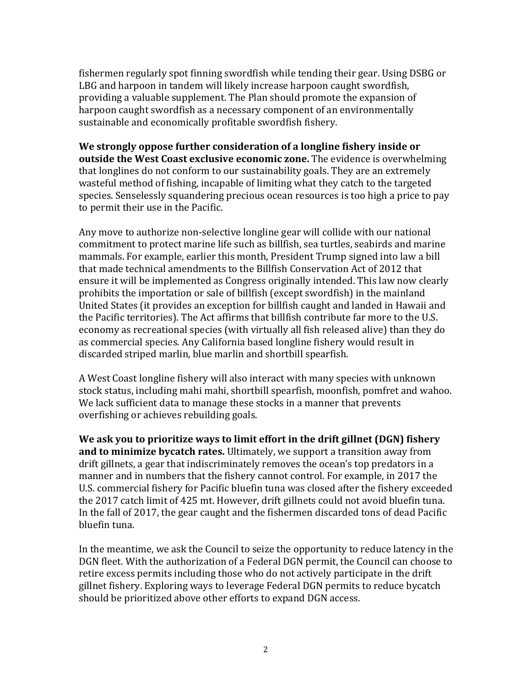fishermen regularly spot finning swordfish while tending their gear. Using DSBG or LBG and harpoon in tandem will likely increase harpoon caught swordfish, providing a valuable supplement. The Plan should promote the expansion of harpoon caught swordfish as a necessary component of an environmentally sustainable and economically profitable swordfish fishery.

We strongly oppose further consideration of a longline fishery inside or **outside the West Coast exclusive economic zone.** The evidence is overwhelming that longlines do not conform to our sustainability goals. They are an extremely wasteful method of fishing, incapable of limiting what they catch to the targeted species. Senselessly squandering precious ocean resources is too high a price to pay to permit their use in the Pacific.

Any move to authorize non-selective longline gear will collide with our national commitment to protect marine life such as billfish, sea turtles, seabirds and marine mammals. For example, earlier this month, President Trump signed into law a bill that made technical amendments to the Billfish Conservation Act of 2012 that ensure it will be implemented as Congress originally intended. This law now clearly prohibits the importation or sale of billfish (except swordfish) in the mainland United States (it provides an exception for billfish caught and landed in Hawaii and the Pacific territories). The Act affirms that billfish contribute far more to the U.S. economy as recreational species (with virtually all fish released alive) than they do as commercial species. Any California based longline fishery would result in discarded striped marlin, blue marlin and shortbill spearfish.

A West Coast longline fishery will also interact with many species with unknown stock status, including mahi mahi, shortbill spearfish, moonfish, pomfret and wahoo. We lack sufficient data to manage these stocks in a manner that prevents overfishing or achieves rebuilding goals.

We ask you to prioritize ways to limit effort in the drift gillnet (DGN) fishery **and to minimize bycatch rates.** Ultimately, we support a transition away from drift gillnets, a gear that indiscriminately removes the ocean's top predators in a manner and in numbers that the fishery cannot control. For example, in 2017 the U.S. commercial fishery for Pacific bluefin tuna was closed after the fishery exceeded the 2017 catch limit of 425 mt. However, drift gillnets could not avoid bluefin tuna. In the fall of  $2017$ , the gear caught and the fishermen discarded tons of dead Pacific bluefin tuna.

In the meantime, we ask the Council to seize the opportunity to reduce latency in the DGN fleet. With the authorization of a Federal DGN permit, the Council can choose to retire excess permits including those who do not actively participate in the drift gillnet fishery. Exploring ways to leverage Federal DGN permits to reduce bycatch should be prioritized above other efforts to expand DGN access.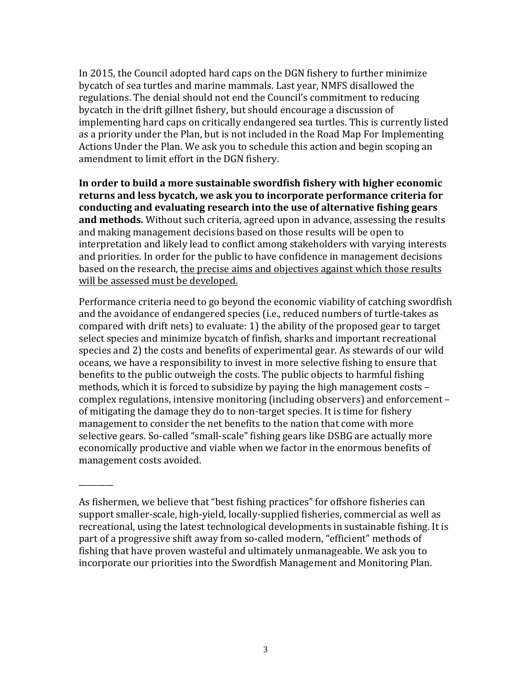In 2015, the Council adopted hard caps on the DGN fishery to further minimize bycatch of sea turtles and marine mammals. Last year, NMFS disallowed the regulations. The denial should not end the Council's commitment to reducing bycatch in the drift gillnet fishery, but should encourage a discussion of implementing hard caps on critically endangered sea turtles. This is currently listed as a priority under the Plan, but is not included in the Road Map For Implementing Actions Under the Plan. We ask you to schedule this action and begin scoping an amendment to limit effort in the DGN fishery.

In order to build a more sustainable swordfish fishery with higher economic returns and less bycatch, we ask you to incorporate performance criteria for conducting and evaluating research into the use of alternative fishing gears **and methods.** Without such criteria, agreed upon in advance, assessing the results and making management decisions based on those results will be open to interpretation and likely lead to conflict among stakeholders with varying interests and priorities. In order for the public to have confidence in management decisions based on the research, the precise aims and objectives against which those results will be assessed must be developed.

Performance criteria need to go beyond the economic viability of catching swordfish and the avoidance of endangered species (i.e., reduced numbers of turtle-takes as compared with drift nets) to evaluate: 1) the ability of the proposed gear to target select species and minimize bycatch of finfish, sharks and important recreational species and 2) the costs and benefits of experimental gear. As stewards of our wild oceans, we have a responsibility to invest in more selective fishing to ensure that benefits to the public outweigh the costs. The public objects to harmful fishing methods, which it is forced to subsidize by paying the high management costs  $$ complex regulations, intensive monitoring (including observers) and enforcement of mitigating the damage they do to non-target species. It is time for fishery management to consider the net benefits to the nation that come with more selective gears. So-called "small-scale" fishing gears like DSBG are actually more economically productive and viable when we factor in the enormous benefits of management costs avoided.

\_\_\_\_\_\_\_\_\_

As fishermen, we believe that "best fishing practices" for offshore fisheries can support smaller-scale, high-yield, locally-supplied fisheries, commercial as well as recreational, using the latest technological developments in sustainable fishing. It is part of a progressive shift away from so-called modern, "efficient" methods of fishing that have proven wasteful and ultimately unmanageable. We ask you to incorporate our priorities into the Swordfish Management and Monitoring Plan.